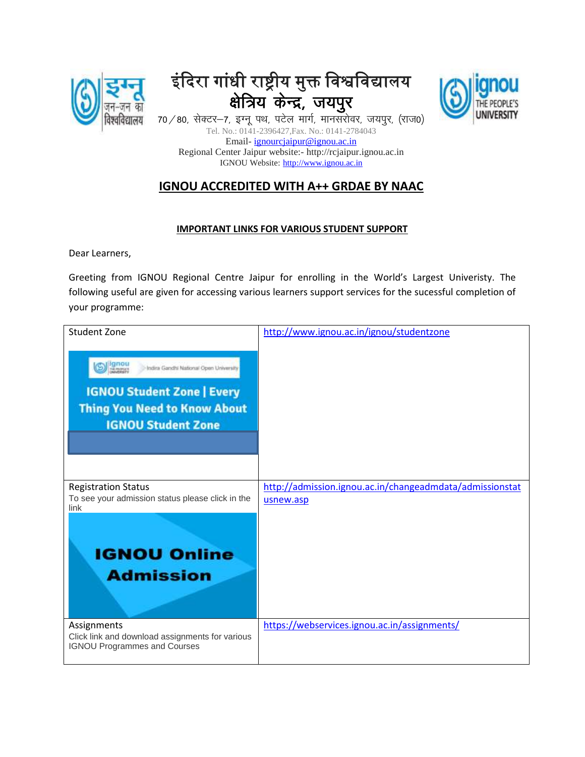

## इंदिरा गांधी राष्ट्रीय मुक्त विश्वविद्यालय क्षेत्रिय केन्द्र, जयपुर



70 / 80, सेक्टर-7, इग्नू पथ, पटेल मार्ग, मानसरोवर, जयपुर, (राज0) Tel. No.: 0141-2396427,Fax. No.: 0141-2784043 Email- [ignourcjaipur@ignou.ac.in](mailto:ignourcjaipur@ignou.ac.in) Regional Center Jaipur website:- http://rcjaipur.ignou.ac.in IGNOU Website: [http://www.ignou.ac.in](http://www.ignou.ac.in/)

## **IGNOU ACCREDITED WITH A++ GRDAE BY NAAC**

## **IMPORTANT LINKS FOR VARIOUS STUDENT SUPPORT**

Dear Learners,

Greeting from IGNOU Regional Centre Jaipur for enrolling in the World's Largest Univeristy. The following useful are given for accessing various learners support services for the sucessful completion of your programme:

| <b>Student Zone</b><br><b>Ignou</b><br>Indira Gandhi National Open University<br><b>IGNOU Student Zone   Every</b><br><b>Thing You Need to Know About</b><br><b>IGNOU Student Zone</b> | http://www.ignou.ac.in/ignou/studentzone                              |
|----------------------------------------------------------------------------------------------------------------------------------------------------------------------------------------|-----------------------------------------------------------------------|
| <b>Registration Status</b><br>To see your admission status please click in the<br>link<br><b>IGNOU Online</b><br><b>Admission</b>                                                      | http://admission.ignou.ac.in/changeadmdata/admissionstat<br>usnew.asp |
| Assignments<br>Click link and download assignments for various<br><b>IGNOU Programmes and Courses</b>                                                                                  | https://webservices.ignou.ac.in/assignments/                          |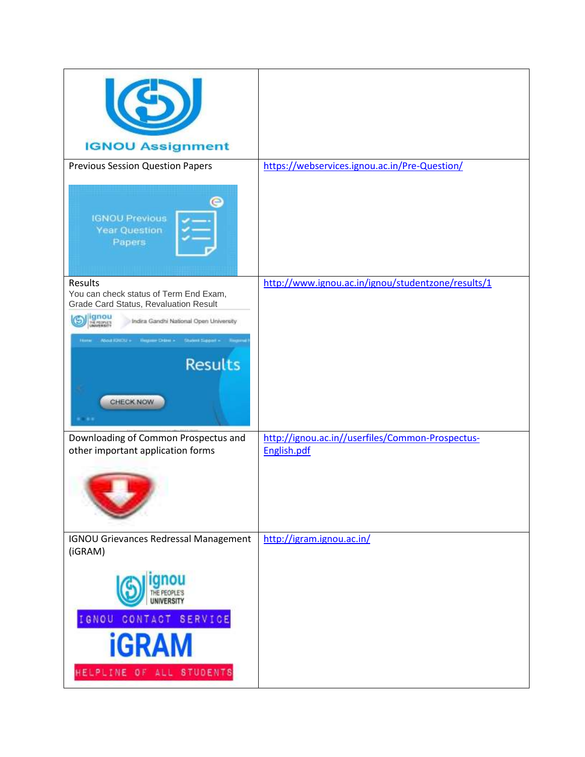| <b>IGNOU Assignment</b>                                                   |                                                                 |
|---------------------------------------------------------------------------|-----------------------------------------------------------------|
| <b>Previous Session Question Papers</b>                                   | https://webservices.ignou.ac.in/Pre-Question/                   |
| <b>IGNOU Previous</b><br><b>Year Question</b><br>Papers                   |                                                                 |
| Results<br>You can check status of Term End Exam,                         | http://www.ignou.ac.in/ignou/studentzone/results/1              |
| <b>Grade Card Status, Revaluation Result</b>                              |                                                                 |
| gnou<br>Mrtights<br>Indira Gandhi National Open University                |                                                                 |
| - UDWEISEN<br><b>Student Siggs</b><br><b>Hannaham Crange +</b>            |                                                                 |
| <b>Results</b><br>CHECK NOW                                               |                                                                 |
| Downloading of Common Prospectus and<br>other important application forms | http://ignou.ac.in//userfiles/Common-Prospectus-<br>English.pdf |
|                                                                           |                                                                 |
| <b>IGNOU Grievances Redressal Management</b><br>(iGRAM)                   | http://igram.ignou.ac.in/                                       |
|                                                                           |                                                                 |
| IGNOU CONTACT SERVICE                                                     |                                                                 |
| <b>iGRAM</b>                                                              |                                                                 |
| HELPLINE OF ALL STUDENTS                                                  |                                                                 |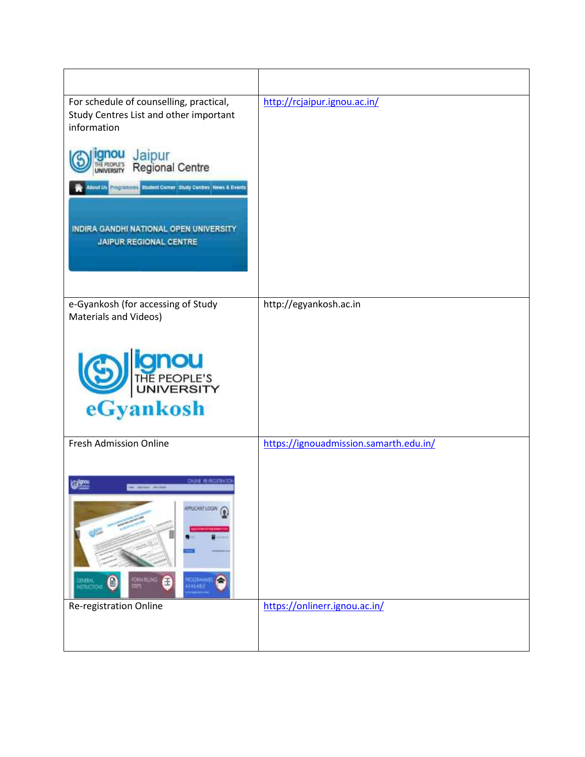| For schedule of counselling, practical,<br>Study Centres List and other important<br>information<br>Jaipur<br><b>Regional Centre</b><br>bout Us <b>Propraiments</b> Student Comer Study Centres News & Events<br>INDIRA GANDHI NATIONAL OPEN UNIVERSITY<br><b>JAIPUR REGIONAL CENTRE</b> | http://rcjaipur.ignou.ac.in/           |
|------------------------------------------------------------------------------------------------------------------------------------------------------------------------------------------------------------------------------------------------------------------------------------------|----------------------------------------|
| e-Gyankosh (for accessing of Study<br>Materials and Videos)                                                                                                                                                                                                                              | http://egyankosh.ac.in                 |
| THE PEOPLE'S<br>eGyankosh                                                                                                                                                                                                                                                                |                                        |
| Fresh Admission Online                                                                                                                                                                                                                                                                   | https://ignouadmission.samarth.edu.in/ |
| <b>ONLINE REABOISTEATIC</b><br>ிண்<br><b>SE MINE POST</b><br><b>APPLICANT LOCAL</b><br>CRAINLING<br><b>HOSRANAES</b><br>eneral<br>Ciricilioni<br>Ð                                                                                                                                       |                                        |
| Re-registration Online                                                                                                                                                                                                                                                                   | https://onlinerr.ignou.ac.in/          |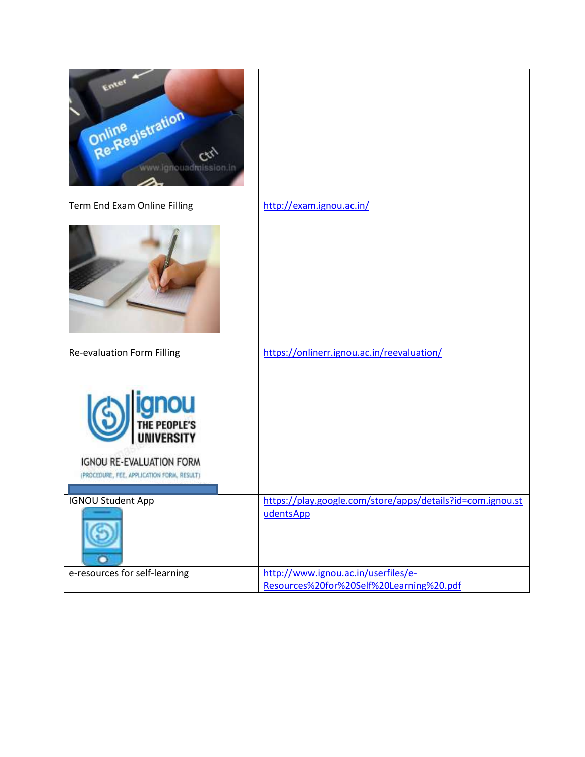| Enter<br>Online<br>Re-Registration<br>www.ignouadraission.in                           |                                                                                 |
|----------------------------------------------------------------------------------------|---------------------------------------------------------------------------------|
| Term End Exam Online Filling                                                           | http://exam.ignou.ac.in/                                                        |
| <b>Re-evaluation Form Filling</b>                                                      | https://onlinerr.ignou.ac.in/reevaluation/                                      |
| <b>ignou</b><br>IGNOU RE-EVALUATION FORM<br>(PROCEDURE, FEE, APPLICATION FORM, RESULT) |                                                                                 |
| <b>IGNOU Student App</b>                                                               | https://play.google.com/store/apps/details?id=com.ignou.st<br>udentsApp         |
| e-resources for self-learning                                                          | http://www.ignou.ac.in/userfiles/e-<br>Resources%20for%20Self%20Learning%20.pdf |